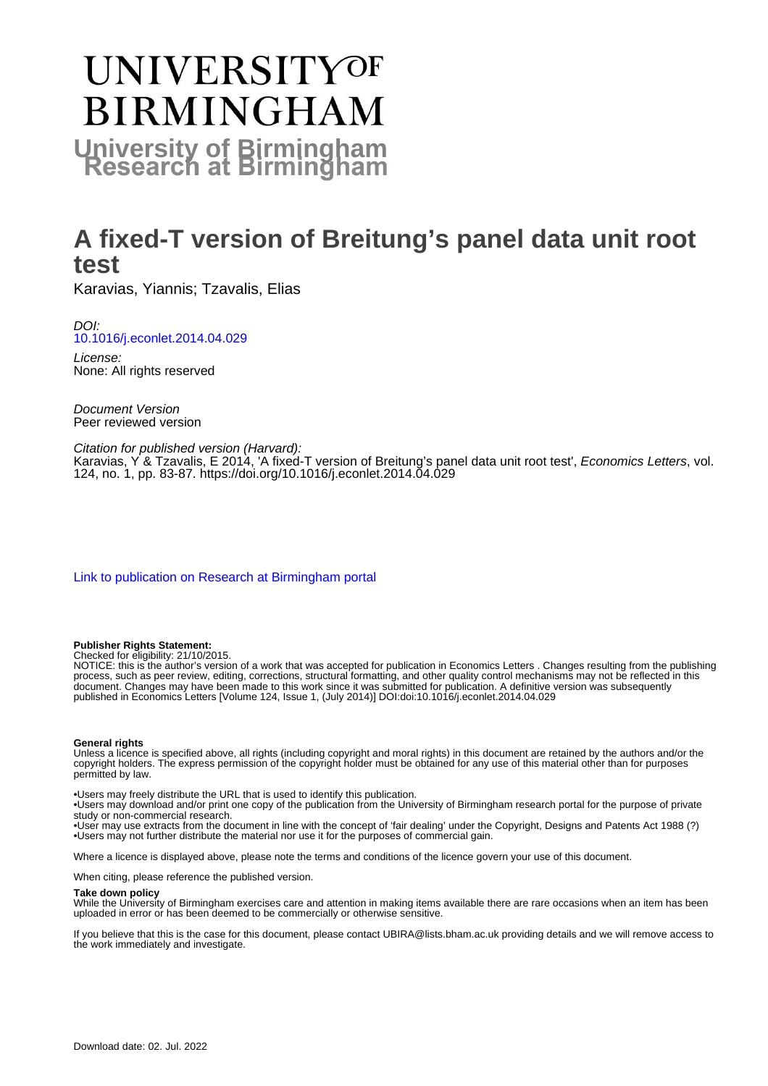# **UNIVERSITYOF BIRMINGHAM University of Birmingham**

# **A fixed-T version of Breitung's panel data unit root test**

Karavias, Yiannis; Tzavalis, Elias

DOI: [10.1016/j.econlet.2014.04.029](https://doi.org/10.1016/j.econlet.2014.04.029)

License: None: All rights reserved

Document Version Peer reviewed version

#### Citation for published version (Harvard):

Karavias, Y & Tzavalis, E 2014, 'A fixed-T version of Breitung's panel data unit root test', Economics Letters, vol. 124, no. 1, pp. 83-87. <https://doi.org/10.1016/j.econlet.2014.04.029>

[Link to publication on Research at Birmingham portal](https://birmingham.elsevierpure.com/en/publications/a3da0fc9-1284-4f2b-85cc-aaf805f8fd6b)

#### **Publisher Rights Statement:**

Checked for eligibility: 21/10/2015.

NOTICE: this is the author's version of a work that was accepted for publication in Economics Letters . Changes resulting from the publishing process, such as peer review, editing, corrections, structural formatting, and other quality control mechanisms may not be reflected in this document. Changes may have been made to this work since it was submitted for publication. A definitive version was subsequently published in Economics Letters [Volume 124, Issue 1, (July 2014)] DOI:doi:10.1016/j.econlet.2014.04.029

#### **General rights**

Unless a licence is specified above, all rights (including copyright and moral rights) in this document are retained by the authors and/or the copyright holders. The express permission of the copyright holder must be obtained for any use of this material other than for purposes permitted by law.

• Users may freely distribute the URL that is used to identify this publication.

• Users may download and/or print one copy of the publication from the University of Birmingham research portal for the purpose of private study or non-commercial research.

• User may use extracts from the document in line with the concept of 'fair dealing' under the Copyright, Designs and Patents Act 1988 (?) • Users may not further distribute the material nor use it for the purposes of commercial gain.

Where a licence is displayed above, please note the terms and conditions of the licence govern your use of this document.

When citing, please reference the published version.

#### **Take down policy**

While the University of Birmingham exercises care and attention in making items available there are rare occasions when an item has been uploaded in error or has been deemed to be commercially or otherwise sensitive.

If you believe that this is the case for this document, please contact UBIRA@lists.bham.ac.uk providing details and we will remove access to the work immediately and investigate.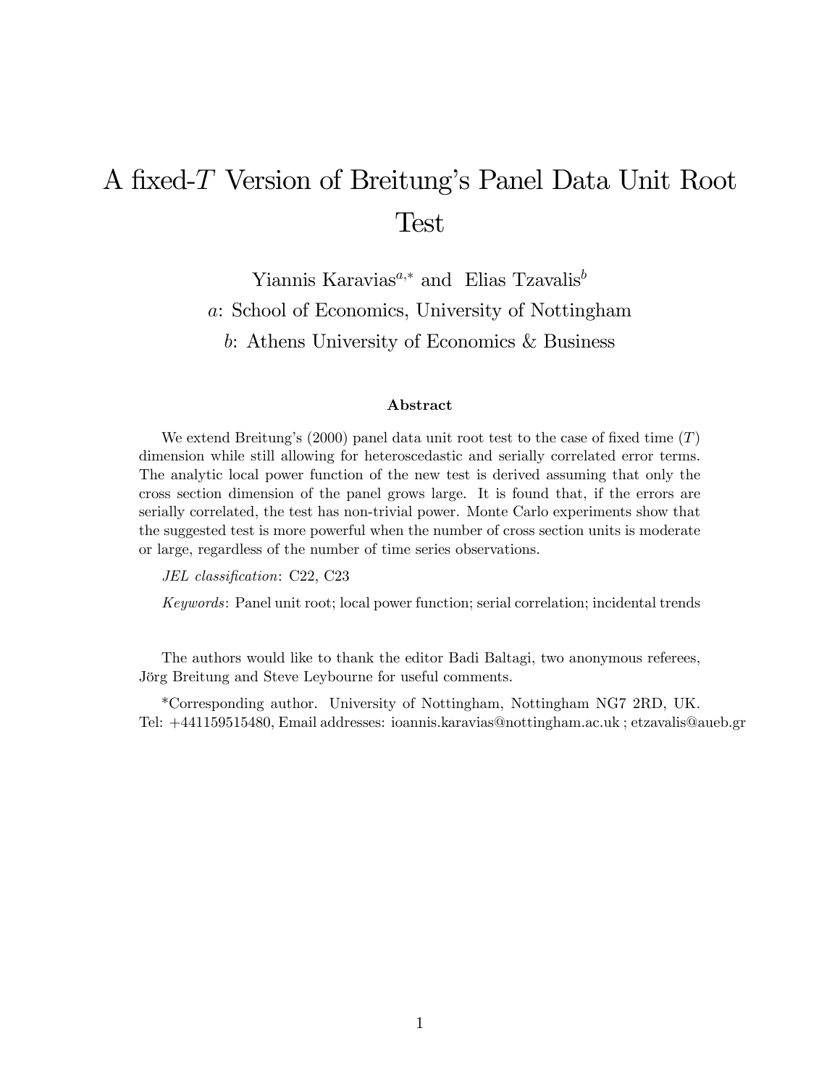# A fixed-T Version of Breitung's Panel Data Unit Root Test

Yiannis Karavias<sup> $a,*$ </sup> and Elias Tzavalis<sup>b</sup> a: School of Economics, University of Nottingham b: Athens University of Economics & Business

#### Abstract

We extend Breitung's (2000) panel data unit root test to the case of fixed time  $(T)$ dimension while still allowing for heteroscedastic and serially correlated error terms. The analytic local power function of the new test is derived assuming that only the cross section dimension of the panel grows large. It is found that, if the errors are serially correlated, the test has non-trivial power. Monte Carlo experiments show that the suggested test is more powerful when the number of cross section units is moderate or large, regardless of the number of time series observations.

JEL classification: C22, C23

Keywords: Panel unit root; local power function; serial correlation; incidental trends

The authors would like to thank the editor Badi Baltagi, two anonymous referees, Jörg Breitung and Steve Leybourne for useful comments.

\*Corresponding author. University of Nottingham, Nottingham NG7 2RD, UK. Tel: +441159515480, Email addresses: ioannis.karavias@nottingham.ac.uk ; etzavalis@aueb.gr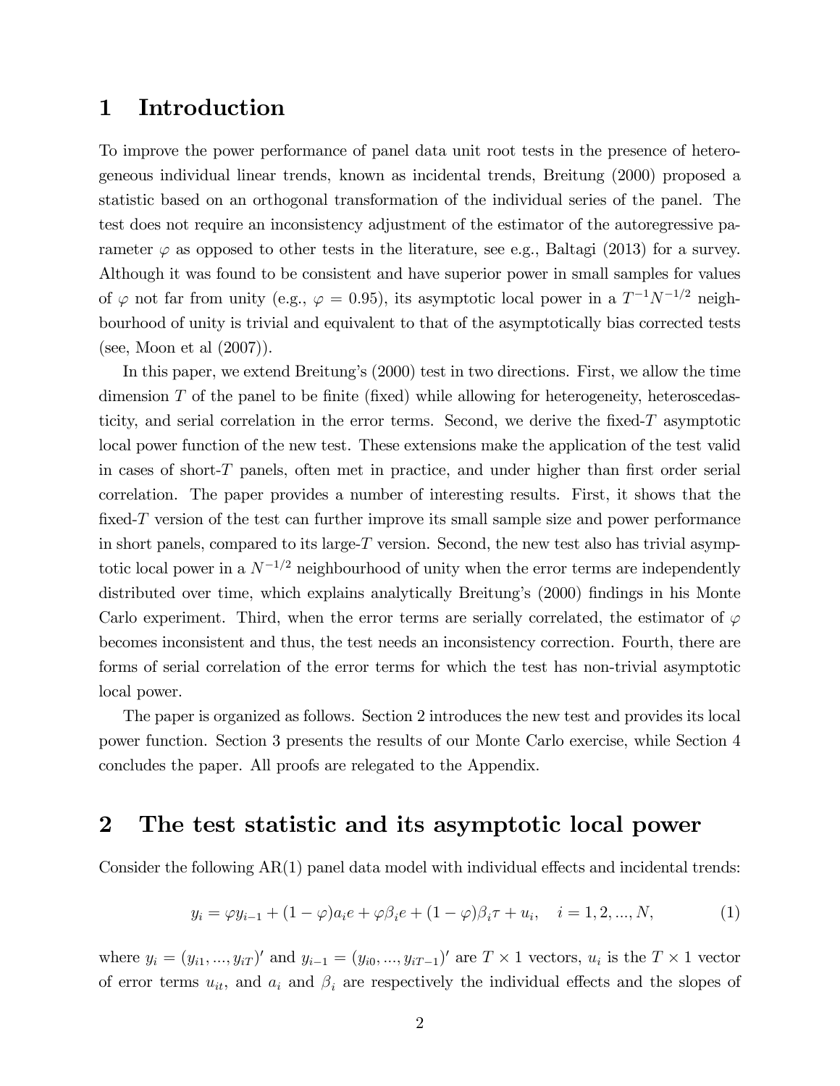## 1 Introduction

To improve the power performance of panel data unit root tests in the presence of heterogeneous individual linear trends, known as incidental trends, Breitung (2000) proposed a statistic based on an orthogonal transformation of the individual series of the panel. The test does not require an inconsistency adjustment of the estimator of the autoregressive parameter  $\varphi$  as opposed to other tests in the literature, see e.g., Baltagi (2013) for a survey. Although it was found to be consistent and have superior power in small samples for values of  $\varphi$  not far from unity (e.g.,  $\varphi = 0.95$ ), its asymptotic local power in a  $T^{-1}N^{-1/2}$  neighbourhood of unity is trivial and equivalent to that of the asymptotically bias corrected tests (see, Moon et al (2007)).

In this paper, we extend Breitungís (2000) test in two directions. First, we allow the time dimension  $T$  of the panel to be finite (fixed) while allowing for heterogeneity, heteroscedasticity, and serial correlation in the error terms. Second, we derive the fixed- $T$  asymptotic local power function of the new test. These extensions make the application of the test valid in cases of short- $T$  panels, often met in practice, and under higher than first order serial correlation. The paper provides a number of interesting results. First, it shows that the fixed- $T$  version of the test can further improve its small sample size and power performance in short panels, compared to its large-T version. Second, the new test also has trivial asymptotic local power in a  $N^{-1/2}$  neighbourhood of unity when the error terms are independently distributed over time, which explains analytically Breitung's (2000) findings in his Monte Carlo experiment. Third, when the error terms are serially correlated, the estimator of  $\varphi$ becomes inconsistent and thus, the test needs an inconsistency correction. Fourth, there are forms of serial correlation of the error terms for which the test has non-trivial asymptotic local power.

The paper is organized as follows. Section 2 introduces the new test and provides its local power function. Section 3 presents the results of our Monte Carlo exercise, while Section 4 concludes the paper. All proofs are relegated to the Appendix.

## 2 The test statistic and its asymptotic local power

Consider the following  $AR(1)$  panel data model with individual effects and incidental trends:

$$
y_i = \varphi y_{i-1} + (1 - \varphi)a_i e + \varphi \beta_i e + (1 - \varphi)\beta_i \tau + u_i, \quad i = 1, 2, ..., N,
$$
 (1)

where  $y_i = (y_{i1}, ..., y_{iT})'$  and  $y_{i-1} = (y_{i0}, ..., y_{iT-1})'$  are  $T \times 1$  vectors,  $u_i$  is the  $T \times 1$  vector of error terms  $u_{it}$ , and  $a_i$  and  $\beta_i$  are respectively the individual effects and the slopes of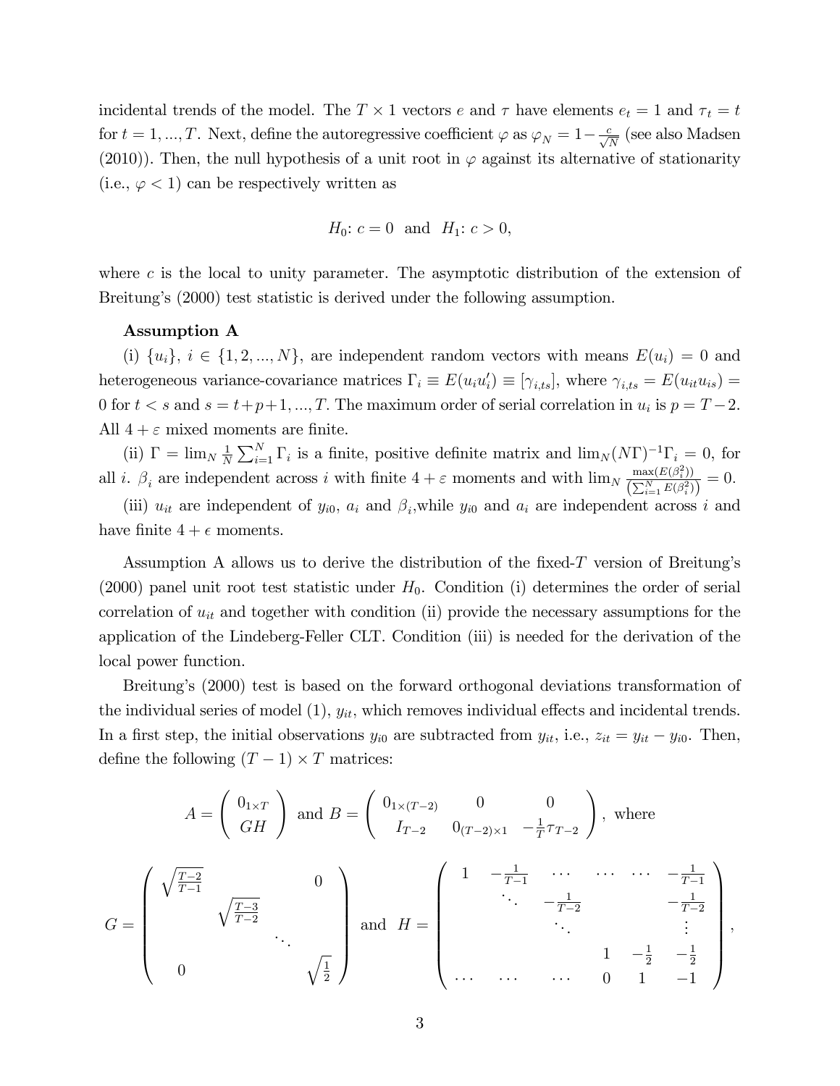incidental trends of the model. The  $T \times 1$  vectors e and  $\tau$  have elements  $e_t = 1$  and  $\tau_t = t$ for  $t = 1, ..., T$ . Next, define the autoregressive coefficient  $\varphi$  as  $\varphi_N = 1 - \frac{c}{\sqrt{N}}$  (see also Madsen (2010)). Then, the null hypothesis of a unit root in  $\varphi$  against its alternative of stationarity (i.e.,  $\varphi$  < 1) can be respectively written as

*H*<sub>0</sub>: 
$$
c = 0
$$
 and *H*<sub>1</sub>:  $c > 0$ ,

where  $c$  is the local to unity parameter. The asymptotic distribution of the extension of Breitung's (2000) test statistic is derived under the following assumption.

#### Assumption A

(i)  $\{u_i\}, i \in \{1, 2, ..., N\},\$ are independent random vectors with means  $E(u_i) = 0$  and heterogeneous variance-covariance matrices  $\Gamma_i \equiv E(u_i u_i') \equiv [\gamma_{i,ts}]$ , where  $\gamma_{i,ts} = E(u_i u_{is}) =$ 0 for  $t < s$  and  $s = t + p + 1, ..., T$ . The maximum order of serial correlation in  $u_i$  is  $p = T - 2$ . All  $4 + \varepsilon$  mixed moments are finite.

(ii)  $\Gamma = \lim_{N} \frac{1}{N}$  $\frac{1}{N}\sum_{i=1}^{N}\Gamma_i$  is a finite, positive definite matrix and  $\lim_{N(N)}\Gamma^{-1}\Gamma_i=0$ , for all *i*.  $\beta_i$  are independent across *i* with finite  $4 + \varepsilon$  moments and with  $\lim_{N} \frac{\max(E(\beta_i^2))}{(\sum_{N} E(\beta_i^2))}$  $\frac{\max(E(\beta_i))}{\left(\sum_{i=1}^N E(\beta_i^2)\right)} = 0.$ 

(iii)  $u_{it}$  are independent of  $y_{i0}$ ,  $a_i$  and  $\beta_i$ , while  $y_{i0}$  and  $a_i$  are independent across i and have finite  $4 + \epsilon$  moments.

Assumption A allows us to derive the distribution of the fixed-T version of Breitung's (2000) panel unit root test statistic under  $H_0$ . Condition (i) determines the order of serial correlation of  $u_{it}$  and together with condition (ii) provide the necessary assumptions for the application of the Lindeberg-Feller CLT. Condition (iii) is needed for the derivation of the local power function.

Breitung's (2000) test is based on the forward orthogonal deviations transformation of the individual series of model  $(1)$ ,  $y_{it}$ , which removes individual effects and incidental trends. In a first step, the initial observations  $y_{i0}$  are subtracted from  $y_{it}$ , i.e.,  $z_{it} = y_{it} - y_{i0}$ . Then, define the following  $(T - 1) \times T$  matrices:

$$
A = \begin{pmatrix} 0_{1 \times T} \\ GH \end{pmatrix} \text{ and } B = \begin{pmatrix} 0_{1 \times (T-2)} & 0 & 0 \\ I_{T-2} & 0_{(T-2) \times 1} & -\frac{1}{T}\tau_{T-2} \end{pmatrix}, \text{ where}
$$

$$
G = \begin{pmatrix} \sqrt{\frac{T-2}{T-1}} & 0 \\ \sqrt{\frac{T-3}{T-2}} & \cdots & \cdots & \cdots & -\frac{1}{T-1} \\ \vdots & \vdots & \ddots & -\frac{1}{T-2} & -\frac{1}{T-2} \\ 0 & \sqrt{\frac{1}{2}} & \cdots & \cdots & 0 & 1 & -1 \end{pmatrix},
$$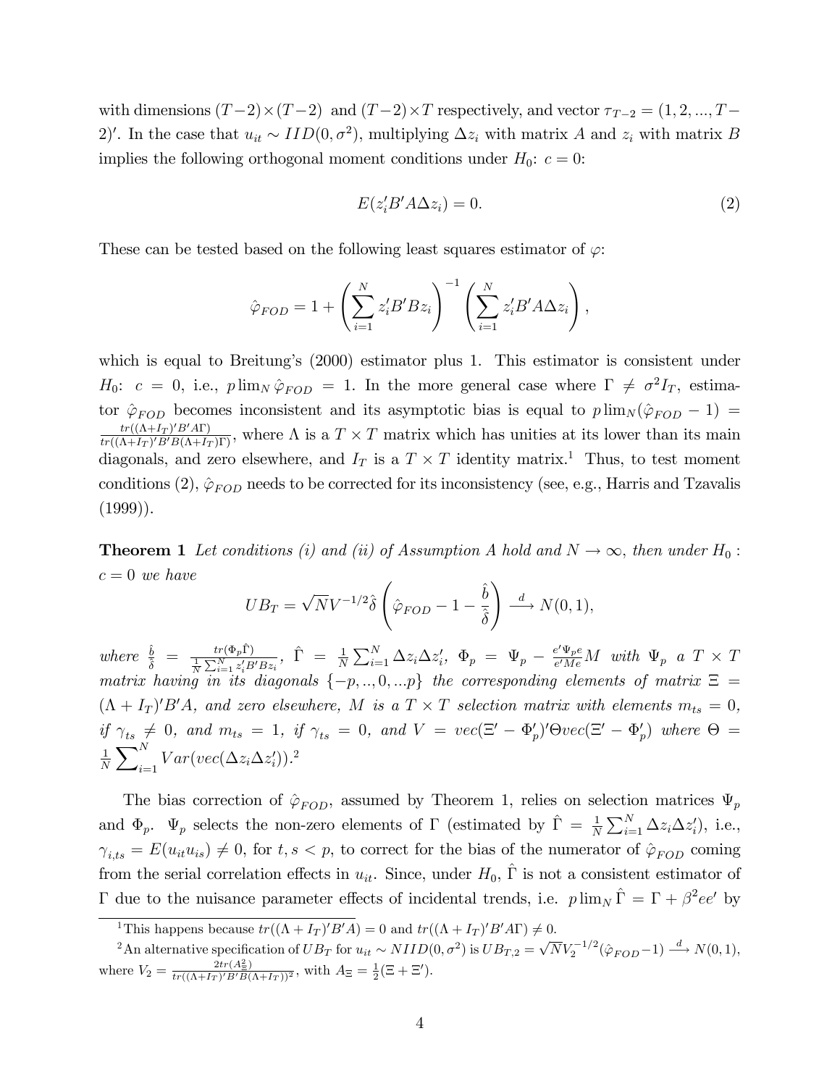with dimensions  $(T-2) \times (T-2)$  and  $(T-2) \times T$  respectively, and vector  $\tau_{T-2} = (1, 2, ..., T-1)$ 2)'. In the case that  $u_{it} \sim IID(0, \sigma^2)$ , multiplying  $\Delta z_i$  with matrix A and  $z_i$  with matrix B implies the following orthogonal moment conditions under  $H_0$ :  $c = 0$ :

$$
E(z_i'B' A \Delta z_i) = 0.
$$
 (2)

These can be tested based on the following least squares estimator of  $\varphi$ :

$$
\hat{\varphi}_{FOD} = 1 + \left(\sum_{i=1}^{N} z_i' B' B z_i\right)^{-1} \left(\sum_{i=1}^{N} z_i' B' A \Delta z_i\right),
$$

which is equal to Breitung's (2000) estimator plus 1. This estimator is consistent under  $H_0: c = 0$ , i.e.,  $p \lim_{N} \hat{\varphi}_{FOD} = 1$ . In the more general case where  $\Gamma \neq \sigma^2 I_T$ , estimator  $\hat{\varphi}_{FOD}$  becomes inconsistent and its asymptotic bias is equal to  $p \lim_{N} (\hat{\varphi}_{FOD} - 1)$  =  $tr((\Lambda + I_T)^\prime B^\prime A\Gamma)$  $\frac{tr((\Lambda+I_T)'B'H)}{tr((\Lambda+I_T)'B'B(\Lambda+I_T)\Gamma)}$ , where  $\Lambda$  is a  $T \times T$  matrix which has unities at its lower than its main diagonals, and zero elsewhere, and  $I_T$  is a  $T \times T$  identity matrix.<sup>1</sup> Thus, to test moment conditions (2),  $\hat{\varphi}_{FOD}$  needs to be corrected for its inconsistency (see, e.g., Harris and Tzavalis  $(1999)$ ).

**Theorem 1** Let conditions (i) and (ii) of Assumption A hold and  $N \to \infty$ , then under  $H_0$ :  $c = 0$  we have

$$
UB_T = \sqrt{N}V^{-1/2}\hat{\delta}\left(\hat{\varphi}_{FOD} - 1 - \frac{\hat{b}}{\hat{\delta}}\right) \stackrel{d}{\longrightarrow} N(0, 1),
$$

where  $\frac{\hat{b}}{\hat{\delta}} = \frac{tr(\Phi_p \hat{\Gamma})}{\frac{1}{N} \sum_{i=1}^N z_i' B' B z_i}$ ,  $\hat{\Gamma} = \frac{1}{N} \sum_{i=1}^N \Delta z_i \Delta z_i'$ ,  $\Phi_p = \Psi_p - \frac{e' \Psi_p e}{e' M e}$  $\frac{e^{\cdot}\Psi_{p}e}{e^{\prime}Me}M$  with  $\Psi_{p}$  a  $T\times T$ matrix having in its diagonals  $\{-p,..,0,..p\}$  the corresponding elements of matrix  $\Xi =$  $(\Lambda + I_T)'B'A$ , and zero elsewhere, M is a  $T \times T$  selection matrix with elements  $m_{ts} = 0$ , if  $\gamma_{ts} \neq 0$ , and  $m_{ts} = 1$ , if  $\gamma_{ts} = 0$ , and  $V = vec(\Xi' - \Phi_p')' \Theta vec(\Xi' - \Phi_p')$  where  $\Theta =$ 1  $\frac{1}{N}\sum\nolimits_{i=1}^{N}$  $\sum_{i=1}^{N} Var(vec(\Delta z_i \Delta z'_i)).^2$ 

The bias correction of  $\hat{\varphi}_{FOD}$ , assumed by Theorem 1, relies on selection matrices  $\Psi_p$ and  $\Phi_p$ .  $\Psi_p$  selects the non-zero elements of  $\Gamma$  (estimated by  $\hat{\Gamma} = \frac{1}{N} \sum_{i=1}^N \Delta z_i \Delta z'_i$ ), i.e.,  $\gamma_{i,ts} = E(u_{it}u_{is}) \neq 0$ , for  $t, s < p$ , to correct for the bias of the numerator of  $\hat{\varphi}_{FOD}$  coming from the serial correlation effects in  $u_{it}$ . Since, under  $H_0$ ,  $\hat{\Gamma}$  is not a consistent estimator of  $\Gamma$  due to the nuisance parameter effects of incidental trends, i.e.  $p \lim_{N} \hat{\Gamma} = \Gamma + \beta^2 ee'$  by

<sup>&</sup>lt;sup>1</sup>This happens because  $tr((\Lambda + I_T)'B'A) = 0$  and  $tr((\Lambda + I_T)'B'A\Gamma) \neq 0$ .

<sup>&</sup>lt;sup>2</sup>An alternative specification of  $UB_T$  for  $u_{it} \sim NIID(0, \sigma^2)$  is  $UB_{T,2} = \sqrt{N}V_2^{-1/2}(\hat{\varphi}_{FOD} - 1) \stackrel{d}{\longrightarrow} N(0, 1)$ , where  $V_2 = \frac{2tr(A_{\Xi}^2)}{tr((\Lambda + I_T)'B'B(\Lambda + I_T))^2}$ , with  $A_{\Xi} = \frac{1}{2}(\Xi + \Xi')$ .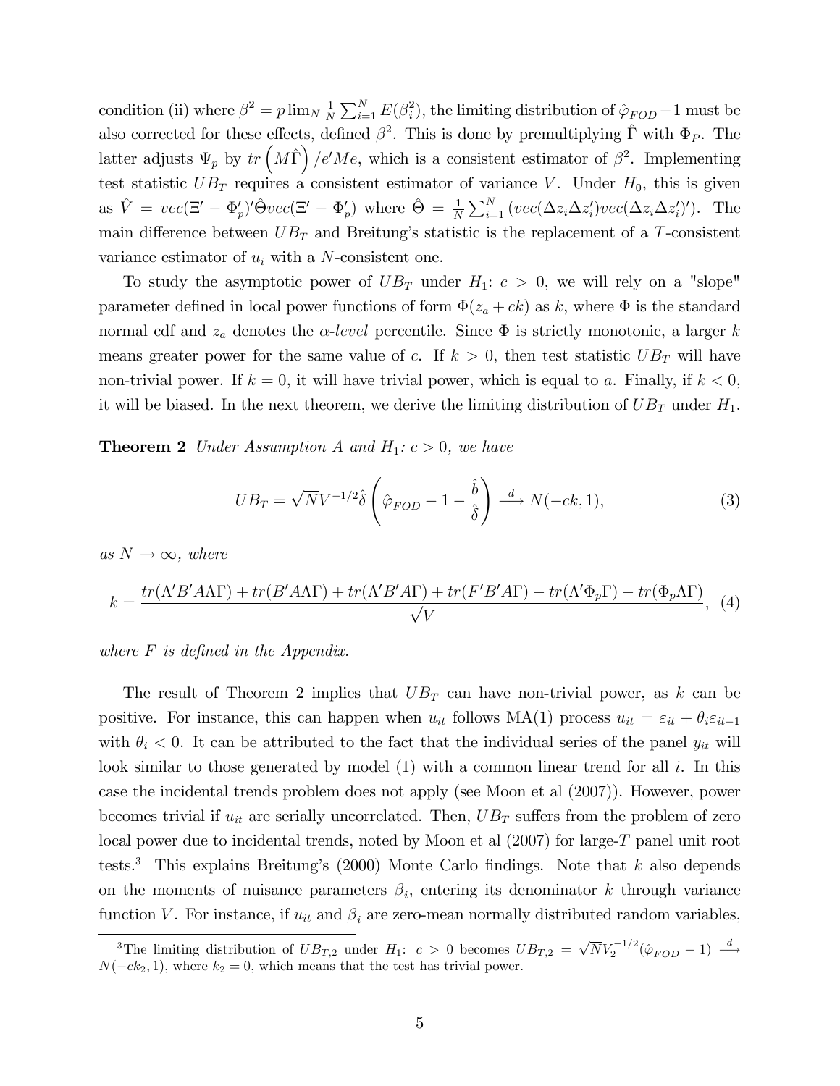condition (ii) where  $\beta^2 = p \lim_{N} \frac{1}{N}$  $\frac{1}{N} \sum_{i=1}^{N} E(\beta_i^2)$  $\hat{i}$ , the limiting distribution of  $\hat{\varphi}_{FOD} - 1$  must be also corrected for these effects, defined  $\beta^2$ . This is done by premultiplying  $\hat{\Gamma}$  with  $\Phi_P$ . The latter adjusts  $\Psi_p$  by  $tr\left(M\hat{\Gamma}\right)/e'Me$ , which is a consistent estimator of  $\beta^2$ . Implementing test statistic  $UB_T$  requires a consistent estimator of variance V. Under  $H_0$ , this is given as  $\hat{V} = vec(\Xi' - \Phi'_p)'\hat{\Theta}vec(\Xi' - \Phi'_p)$  where  $\hat{\Theta} = \frac{1}{N} \sum_{i=1}^N (vec(\Delta z_i \Delta z'_i)vec(\Delta z'_i)')$ . The main difference between  $UB_T$  and Breitung's statistic is the replacement of a T-consistent variance estimator of  $u_i$  with a N-consistent one.

To study the asymptotic power of  $UB_T$  under  $H_1: c > 0$ , we will rely on a "slope" parameter defined in local power functions of form  $\Phi(z_a + ck)$  as k, where  $\Phi$  is the standard normal cdf and  $z_a$  denotes the  $\alpha$ -level percentile. Since  $\Phi$  is strictly monotonic, a larger k means greater power for the same value of c. If  $k > 0$ , then test statistic  $UB_T$  will have non-trivial power. If  $k = 0$ , it will have trivial power, which is equal to a. Finally, if  $k < 0$ , it will be biased. In the next theorem, we derive the limiting distribution of  $UB_T$  under  $H_1$ .

**Theorem 2** Under Assumption A and  $H_1: c > 0$ , we have

$$
UB_T = \sqrt{N}V^{-1/2}\hat{\delta}\left(\hat{\varphi}_{FOD} - 1 - \frac{\hat{b}}{\hat{\delta}}\right) \xrightarrow{d} N(-ck, 1),\tag{3}
$$

as  $N \rightarrow \infty$ , where

$$
k = \frac{tr(\Lambda' B' A \Lambda \Gamma) + tr(B' A \Lambda \Gamma) + tr(\Lambda' B' A \Gamma) + tr(F' B' A \Gamma) - tr(\Lambda' \Phi_p \Gamma) - tr(\Phi_p \Lambda \Gamma)}{\sqrt{V}},
$$
(4)

where  $F$  is defined in the Appendix.

The result of Theorem 2 implies that  $UB_T$  can have non-trivial power, as k can be positive. For instance, this can happen when  $u_{it}$  follows MA(1) process  $u_{it} = \varepsilon_{it} + \theta_i \varepsilon_{it-1}$ with  $\theta_i < 0$ . It can be attributed to the fact that the individual series of the panel  $y_{it}$  will look similar to those generated by model  $(1)$  with a common linear trend for all i. In this case the incidental trends problem does not apply (see Moon et al (2007)). However, power becomes trivial if  $u_{it}$  are serially uncorrelated. Then,  $UB_T$  suffers from the problem of zero local power due to incidental trends, noted by Moon et al (2007) for large-T panel unit root tests.<sup>3</sup> This explains Breitung's (2000) Monte Carlo findings. Note that k also depends on the moments of nuisance parameters  $\beta_i$ , entering its denominator k through variance function V. For instance, if  $u_{it}$  and  $\beta_i$  are zero-mean normally distributed random variables,

<sup>&</sup>lt;sup>3</sup>The limiting distribution of  $UB_{T,2}$  under  $H_1: c > 0$  becomes  $UB_{T,2} = \sqrt{N}V_2^{-1/2}(\hat{\varphi}_{FOD} - 1) \stackrel{d}{\longrightarrow}$  $N(-ck_2, 1)$ , where  $k_2 = 0$ , which means that the test has trivial power.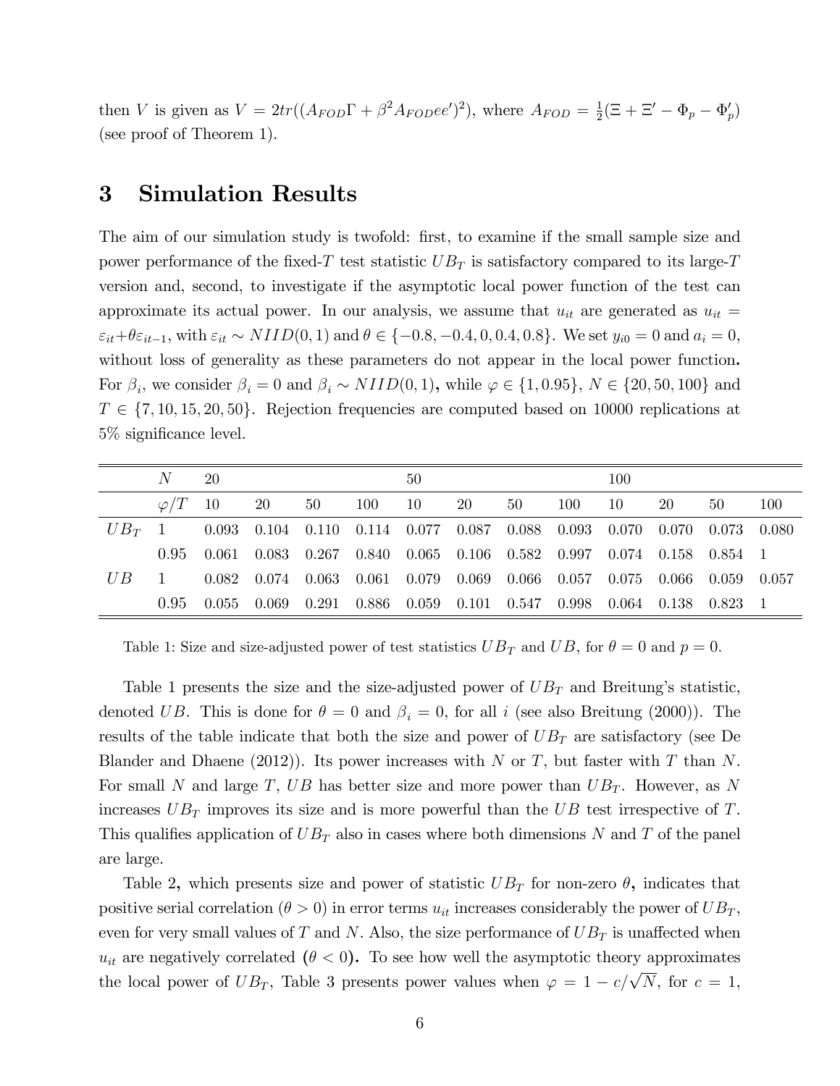then V is given as  $V = 2tr((A_{FOD}\Gamma + \beta^2 A_{FOD}ee')^2)$ , where  $A_{FOD} = \frac{1}{2}$  $\frac{1}{2}(\Xi + \Xi' - \Phi_p - \Phi'_p)$ (see proof of Theorem 1).

## 3 Simulation Results

The aim of our simulation study is twofold: first, to examine if the small sample size and power performance of the fixed-T test statistic  $UB_T$  is satisfactory compared to its large-T version and, second, to investigate if the asymptotic local power function of the test can approximate its actual power. In our analysis, we assume that  $u_{it}$  are generated as  $u_{it}$  =  $\varepsilon_{it} + \theta \varepsilon_{it-1}$ , with  $\varepsilon_{it} \sim NIID(0, 1)$  and  $\theta \in \{-0.8, -0.4, 0, 0.4, 0.8\}$ . We set  $y_{i0} = 0$  and  $a_i = 0$ , without loss of generality as these parameters do not appear in the local power function. For  $\beta_i$ , we consider  $\beta_i = 0$  and  $\beta_i \sim NIID(0, 1)$ , while  $\varphi \in \{1, 0.95\}$ ,  $N \in \{20, 50, 100\}$  and  $T \in \{7, 10, 15, 20, 50\}$ . Rejection frequencies are computed based on 10000 replications at 5\% significance level.

|     | N              | 20 |                                                                                                 |    |        | 50 |     |    |     | 100  |    |    |     |
|-----|----------------|----|-------------------------------------------------------------------------------------------------|----|--------|----|-----|----|-----|------|----|----|-----|
|     | $\varphi/T$ 10 |    | 20                                                                                              | 50 | 100 10 |    | -20 | 50 | 100 | - 10 | 20 | 50 | 100 |
|     | $UB_T$ 1       |    | $0.093$ $0.104$ $0.110$ $0.114$ $0.077$ $0.087$ $0.088$ $0.093$ $0.070$ $0.070$ $0.073$ $0.080$ |    |        |    |     |    |     |      |    |    |     |
|     | 0.95           |    | $0.061$ $0.083$ $0.267$ $0.840$ $0.065$ $0.106$ $0.582$ $0.997$ $0.074$ $0.158$ $0.854$ 1       |    |        |    |     |    |     |      |    |    |     |
| U B |                |    | $0.082$ $0.074$ $0.063$ $0.061$ $0.079$ $0.069$ $0.066$ $0.057$ $0.075$ $0.066$ $0.059$ $0.057$ |    |        |    |     |    |     |      |    |    |     |
|     | $0.95 -$       |    | $0.055$ $0.069$ $0.291$ $0.886$ $0.059$ $0.101$ $0.547$ $0.998$ $0.064$ $0.138$ $0.823$ 1       |    |        |    |     |    |     |      |    |    |     |

Table 1: Size and size-adjusted power of test statistics  $UB_T$  and  $UB$ , for  $\theta = 0$  and  $p = 0$ .

Table 1 presents the size and the size-adjusted power of  $UB_T$  and Breitung's statistic, denoted UB. This is done for  $\theta = 0$  and  $\beta_i = 0$ , for all i (see also Breitung (2000)). The results of the table indicate that both the size and power of  $UB_T$  are satisfactory (see De Blander and Dhaene (2012)). Its power increases with N or T, but faster with T than N. For small N and large T, UB has better size and more power than  $UB_T$ . However, as N increases  $UB_T$  improves its size and is more powerful than the UB test irrespective of T. This qualifies application of  $UB_T$  also in cases where both dimensions N and T of the panel are large.

Table 2, which presents size and power of statistic  $UB_T$  for non-zero  $\theta$ , indicates that positive serial correlation ( $\theta > 0$ ) in error terms  $u_{it}$  increases considerably the power of  $UB_T$ , even for very small values of T and N. Also, the size performance of  $UB_T$  is unaffected when  $u_{it}$  are negatively correlated  $(\theta < 0)$ . To see how well the asymptotic theory approximates the local power of  $UB_T$ , Table 3 presents power values when  $\varphi = 1 - c/\sqrt{N}$ , for  $c = 1$ ,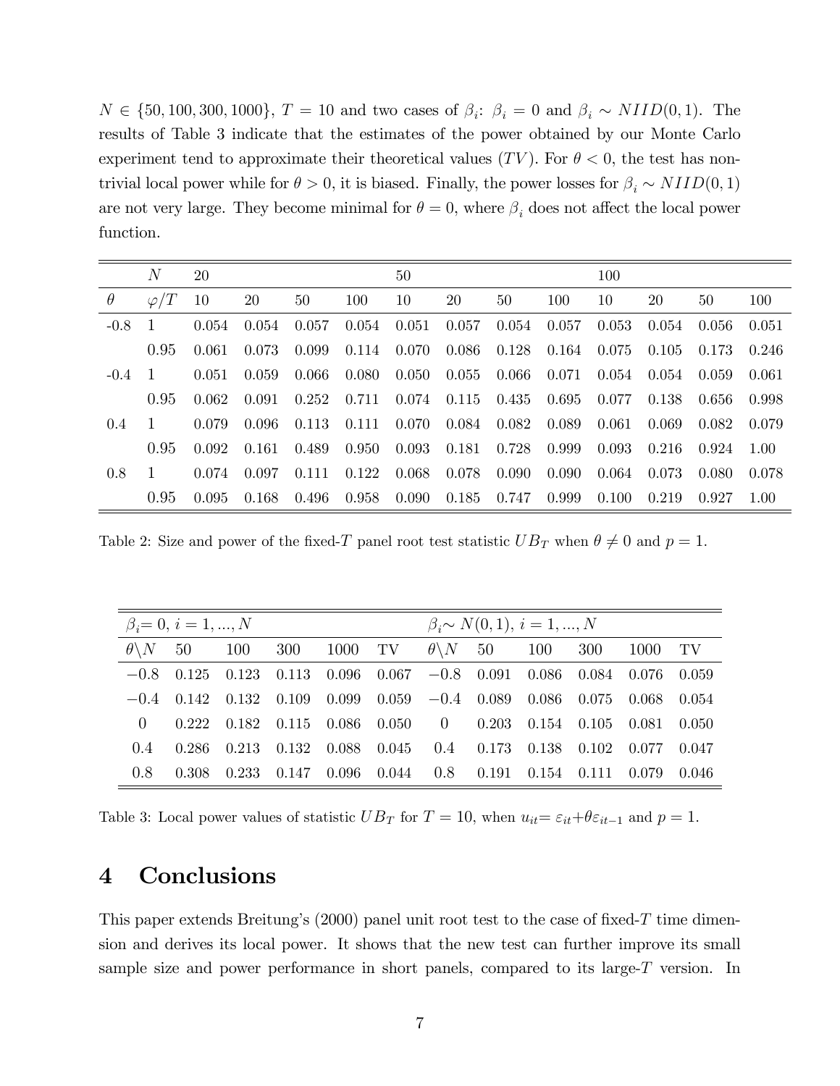$N \in \{50, 100, 300, 1000\}, T = 10$  and two cases of  $\beta_i: \beta_i = 0$  and  $\beta_i \sim NIID(0, 1)$ . The results of Table 3 indicate that the estimates of the power obtained by our Monte Carlo experiment tend to approximate their theoretical values  $(TV)$ . For  $\theta < 0$ , the test has nontrivial local power while for  $\theta > 0$ , it is biased. Finally, the power losses for  $\beta_i \sim NIID(0, 1)$ are not very large. They become minimal for  $\theta = 0$ , where  $\beta_i$  does not affect the local power function.

|               | N              | 20    |       |           |                 | 50                      |                 |    |       | 100         |       |           |        |
|---------------|----------------|-------|-------|-----------|-----------------|-------------------------|-----------------|----|-------|-------------|-------|-----------|--------|
| $\theta$      | $\varphi/T$    | 10    | 20    | 50        | 100             | 10                      | 20              | 50 | 100   | 10          | 20    | 50        | 100    |
| $-0.8$        | $\top$         | 0.054 | 0.054 | 0.057     | 0.054           | 0.051                   | $0.057$ $0.054$ |    | 0.057 | 0.053       | 0.054 | - 0.056 - | 0.051  |
|               | 0.95           | 0.061 | 0.073 | 0.099     | 0.114           | 0.070                   | $0.086$ 0.128   |    | 0.164 | -0.075 -    | 0.105 | 0.173     | 0.246  |
| $-0.4$        | $\Box$         | 0.051 | 0.059 | -0.066    | 0.080           | 0.050                   | $0.055$ 0.066   |    | 0.071 | 0.054       | 0.054 | 0.059     | -0.061 |
|               | 0.95           | 0.062 | 0.091 | 0.252     | 0.711           | $0.074$ $0.115$ $0.435$ |                 |    |       | 0.695 0.077 | 0.138 | - 0.656 - | 0.998  |
| $0.4^{\circ}$ | 1.             | 0.079 | 0.096 | 0.113     | $0.111$ $0.070$ |                         | $0.084$ 0.082   |    | 0.089 | 0.061       | 0.069 | 0.082     | 0.079  |
|               | 0.95           | 0.092 | 0.161 | 0.489     | 0.950           | 0.093                   | $0.181$ $0.728$ |    | 0.999 | 0.093       | 0.216 | 0.924     | -1.00  |
| 0.8           | $\overline{1}$ | 0.074 | 0.097 | 0.111     | 0.122           | 0.068                   | $0.078$ 0.090   |    | 0.090 | 0.064       | 0.073 | - 0.080 - | 0.078  |
|               | 0.95           | 0.095 | 0.168 | - 0.496 - | 0.958           | 0.090                   | $0.185$ 0.747   |    | 0.999 | 0.100       | 0.219 | 0.927     | 1.00   |

Table 2: Size and power of the fixed-T panel root test statistic  $UB_T$  when  $\theta \neq 0$  and  $p = 1$ .

|                       | $\beta_i = 0, i = 1, , N$ |                                                                                     |                                                                       | $\beta_i \sim N(0, 1), i = 1, , N$ |  |  |  |  |  |       |  |
|-----------------------|---------------------------|-------------------------------------------------------------------------------------|-----------------------------------------------------------------------|------------------------------------|--|--|--|--|--|-------|--|
| $\theta \backslash N$ |                           | 50 100 300 1000 TV $\theta\backslash N$ 50 100 300 1000 TV                          |                                                                       |                                    |  |  |  |  |  |       |  |
|                       | $-0.8$ 0.125              | $0.123$ $0.113$ $0.096$ $0.067$ $-0.8$ $0.091$ $0.086$ $0.084$ $0.076$ $0.059$      |                                                                       |                                    |  |  |  |  |  |       |  |
|                       |                           | $-0.4$ 0.142 0.132 0.109 0.099 0.059 $-0.4$ 0.089 0.086 0.075 0.068                 |                                                                       |                                    |  |  |  |  |  | 0.054 |  |
| $\left( \right)$      |                           | $0.222$ $0.182$ $0.115$ $0.086$ $0.050$ $0$ $0.203$ $0.154$ $0.105$ $0.081$ $0.050$ |                                                                       |                                    |  |  |  |  |  |       |  |
| (14)                  | -0.286 -                  | $0.213$ $0.132$ $0.088$ $0.045$ $0.4$ $0.173$ $0.138$ $0.102$ $0.077$               |                                                                       |                                    |  |  |  |  |  | 0.047 |  |
| 0.8                   | $0.308$ $0.233$           |                                                                                     | $0.147$ $0.096$ $0.044$ $0.8$ $0.191$ $0.154$ $0.111$ $0.079$ $0.046$ |                                    |  |  |  |  |  |       |  |

Table 3: Local power values of statistic  $UB_T$  for  $T = 10$ , when  $u_{it} = \varepsilon_{it} + \theta \varepsilon_{it-1}$  and  $p = 1$ .

# 4 Conclusions

This paper extends Breitung's  $(2000)$  panel unit root test to the case of fixed-T time dimension and derives its local power. It shows that the new test can further improve its small sample size and power performance in short panels, compared to its large- $T$  version. In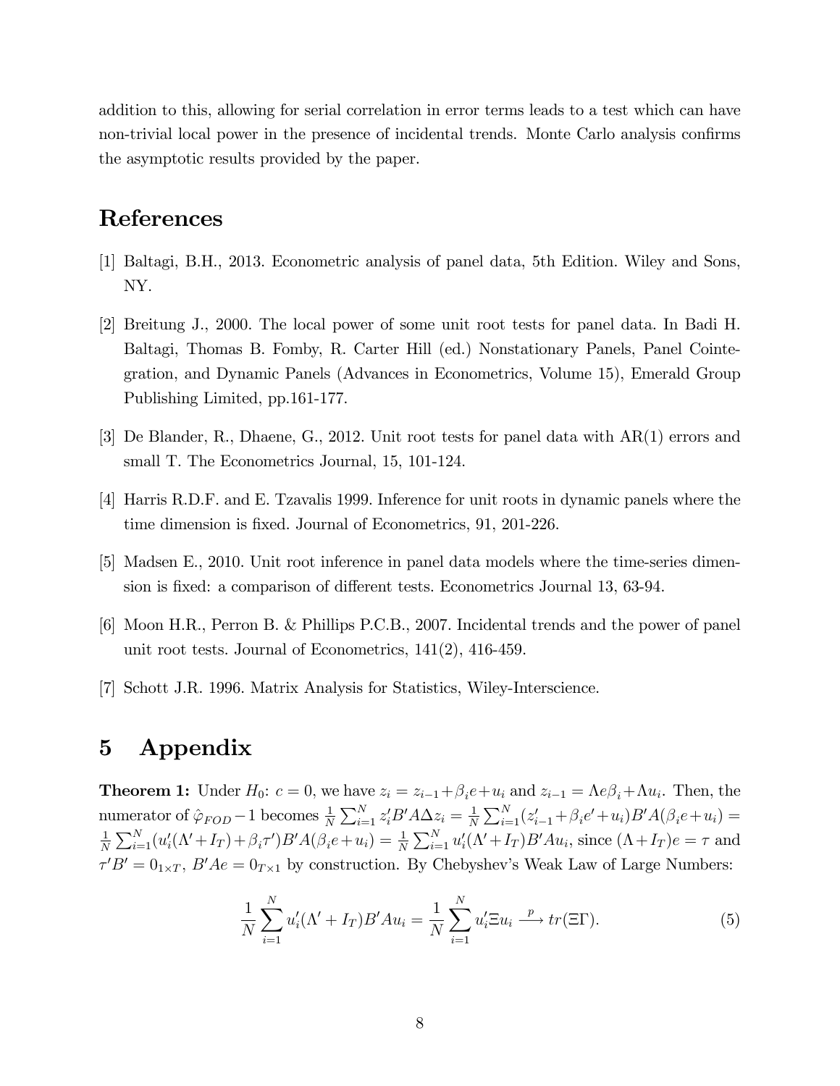addition to this, allowing for serial correlation in error terms leads to a test which can have non-trivial local power in the presence of incidental trends. Monte Carlo analysis confirms the asymptotic results provided by the paper.

# References

- [1] Baltagi, B.H., 2013. Econometric analysis of panel data, 5th Edition. Wiley and Sons, NY.
- [2] Breitung J., 2000. The local power of some unit root tests for panel data. In Badi H. Baltagi, Thomas B. Fomby, R. Carter Hill (ed.) Nonstationary Panels, Panel Cointegration, and Dynamic Panels (Advances in Econometrics, Volume 15), Emerald Group Publishing Limited, pp.161-177.
- [3] De Blander, R., Dhaene, G., 2012. Unit root tests for panel data with AR(1) errors and small T. The Econometrics Journal, 15, 101-124.
- [4] Harris R.D.F. and E. Tzavalis 1999. Inference for unit roots in dynamic panels where the time dimension is fixed. Journal of Econometrics, 91, 201-226.
- [5] Madsen E., 2010. Unit root inference in panel data models where the time-series dimension is fixed: a comparison of different tests. Econometrics Journal 13, 63-94.
- [6] Moon H.R., Perron B. & Phillips P.C.B., 2007. Incidental trends and the power of panel unit root tests. Journal of Econometrics, 141(2), 416-459.
- [7] Schott J.R. 1996. Matrix Analysis for Statistics, Wiley-Interscience.

# 5 Appendix

**Theorem 1:** Under  $H_0$ :  $c = 0$ , we have  $z_i = z_{i-1} + \beta_i e + u_i$  and  $z_{i-1} = \Lambda e \beta_i + \Lambda u_i$ . Then, the numerator of  $\hat{\varphi}_{FOD} - 1$  becomes  $\frac{1}{N} \sum_{i=1}^{N} z_i' B' A \Delta z_i = \frac{1}{N}$  $\frac{1}{N} \sum_{i=1}^{N} (z_{i-1}^{\prime} + \beta_i e^{\prime} + u_i) B^{\prime} A(\beta_i e + u_i) =$ 1  $\frac{1}{N}\sum_{i=1}^N (u_i'(\Lambda'+I_T)+\beta_i\tau')B'A(\beta_i e+u_i)=\frac{1}{N}\sum_{i=1}^N u_i'(\Lambda'+I_T)B'Au_i$ , since  $(\Lambda+I_T)e=\tau$  and  $\tau' B' = 0_{1 \times T}$ ,  $B' A e = 0_{T \times 1}$  by construction. By Chebyshev's Weak Law of Large Numbers:

$$
\frac{1}{N} \sum_{i=1}^{N} u_i'(\Lambda' + I_T) B' A u_i = \frac{1}{N} \sum_{i=1}^{N} u_i' \Xi u_i \stackrel{p}{\longrightarrow} tr(\Xi \Gamma).
$$
 (5)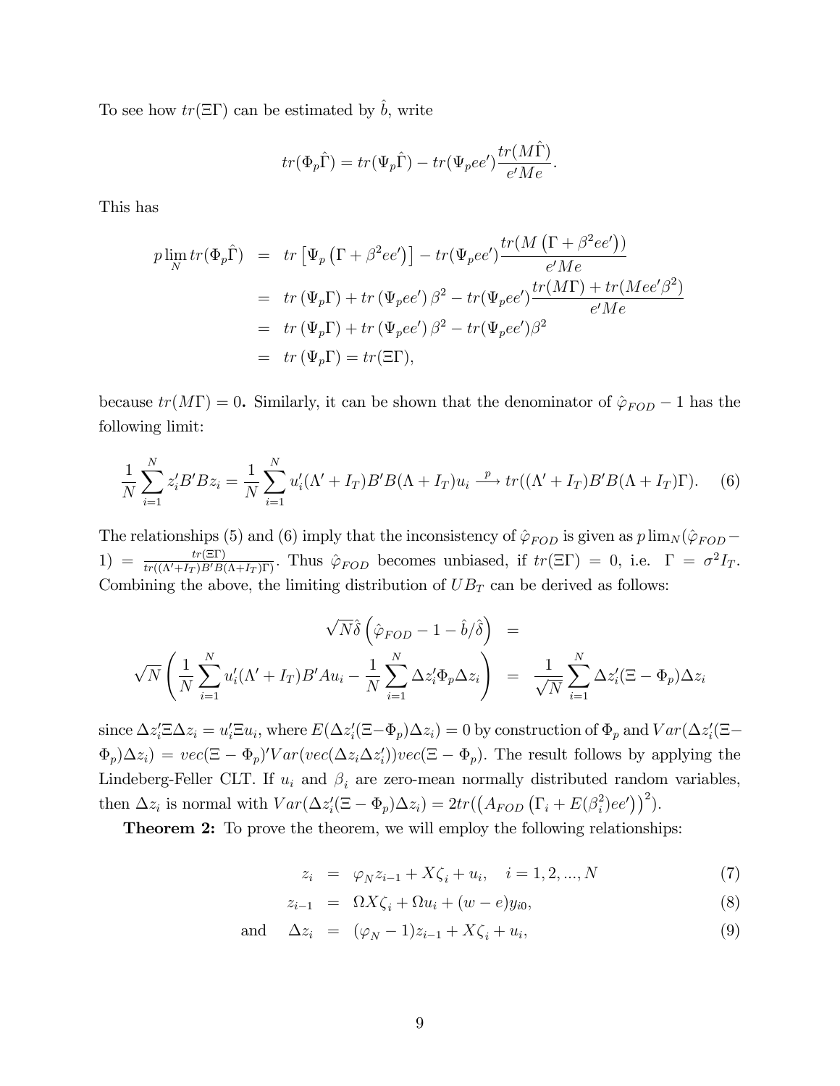To see how  $tr(\Xi \Gamma)$  can be estimated by  $\hat{b}$ , write

$$
tr(\Phi_p \hat{\Gamma}) = tr(\Psi_p \hat{\Gamma}) - tr(\Psi_p ee') \frac{tr(M\hat{\Gamma})}{e'Me}.
$$

This has

$$
p \lim_{N} tr(\Phi_p \hat{\Gamma}) = tr \left[ \Psi_p \left( \Gamma + \beta^2 ee' \right) \right] - tr(\Psi_p ee') \frac{tr(M \left( \Gamma + \beta^2 ee' \right))}{e'Me}
$$
  
= tr (\Psi\_p \Gamma) + tr (\Psi\_p ee') \beta^2 - tr(\Psi\_p ee') \frac{tr(M\Gamma) + tr(Mee'\beta^2)}{e'Me}  
= tr (\Psi\_p \Gamma) + tr (\Psi\_p ee') \beta^2 - tr(\Psi\_p ee') \beta^2  
= tr (\Psi\_p \Gamma) = tr(\Xi \Gamma),

because  $tr(M\Gamma) = 0$ . Similarly, it can be shown that the denominator of  $\hat{\varphi}_{FOD} - 1$  has the following limit:

$$
\frac{1}{N} \sum_{i=1}^{N} z_i' B' B z_i = \frac{1}{N} \sum_{i=1}^{N} u_i' (\Lambda' + I_T) B' B (\Lambda + I_T) u_i \xrightarrow{p} tr((\Lambda' + I_T) B' B (\Lambda + I_T) \Gamma).
$$
 (6)

The relationships (5) and (6) imply that the inconsistency of  $\hat{\varphi}_{FOD}$  is given as  $p \lim_{N} (\hat{\varphi}_{FOD} -$ 1) =  $\frac{tr(\text{ST})}{tr((\Lambda'+I_T)B'B(\Lambda+I_T)\Gamma)}$ . Thus  $\hat{\varphi}_{FOD}$  becomes unbiased, if  $tr(\text{ST}) = 0$ , i.e.  $\Gamma = \sigma^2 I_T$ . Combining the above, the limiting distribution of  $UB_T$  can be derived as follows:

$$
\sqrt{N}\hat{\delta}\left(\hat{\varphi}_{FOD} - 1 - \hat{b}/\hat{\delta}\right) =
$$
  

$$
\sqrt{N}\left(\frac{1}{N}\sum_{i=1}^{N} u'_i(\Lambda' + I_T)B'Au_i - \frac{1}{N}\sum_{i=1}^{N}\Delta z'_i\Phi_p\Delta z_i\right) = \frac{1}{\sqrt{N}}\sum_{i=1}^{N}\Delta z'_i(\Xi - \Phi_p)\Delta z_i
$$

since  $\Delta z_i' \Xi \Delta z_i = u_i' \Xi u_i$ , where  $E(\Delta z_i'(\Xi - \Phi_p) \Delta z_i) = 0$  by construction of  $\Phi_p$  and  $Var(\Delta z_i'(\Xi - \Psi_p) \Delta z_i)$  $\Phi_p(\Delta z_i) = vec(\Xi - \Phi_p)' Var(vec(\Delta z_i \Delta z'_i))vec(\Xi - \Phi_p)$ . The result follows by applying the Lindeberg-Feller CLT. If  $u_i$  and  $\beta_i$  are zero-mean normally distributed random variables, then  $\Delta z_i$  is normal with  $Var(\Delta z_i'(\Xi - \Phi_p) \Delta z_i) = 2tr((A_{FOD} (\Gamma_i + E(\beta_i^2))))$  $i^2$ )ee'))<sup>2</sup>).

**Theorem 2:** To prove the theorem, we will employ the following relationships:

$$
z_i = \varphi_N z_{i-1} + X\zeta_i + u_i, \quad i = 1, 2, ..., N \tag{7}
$$

$$
z_{i-1} = \Omega X \zeta_i + \Omega u_i + (w - e) y_{i0}, \tag{8}
$$

and 
$$
\Delta z_i = (\varphi_N - 1)z_{i-1} + X\zeta_i + u_i,
$$
\n(9)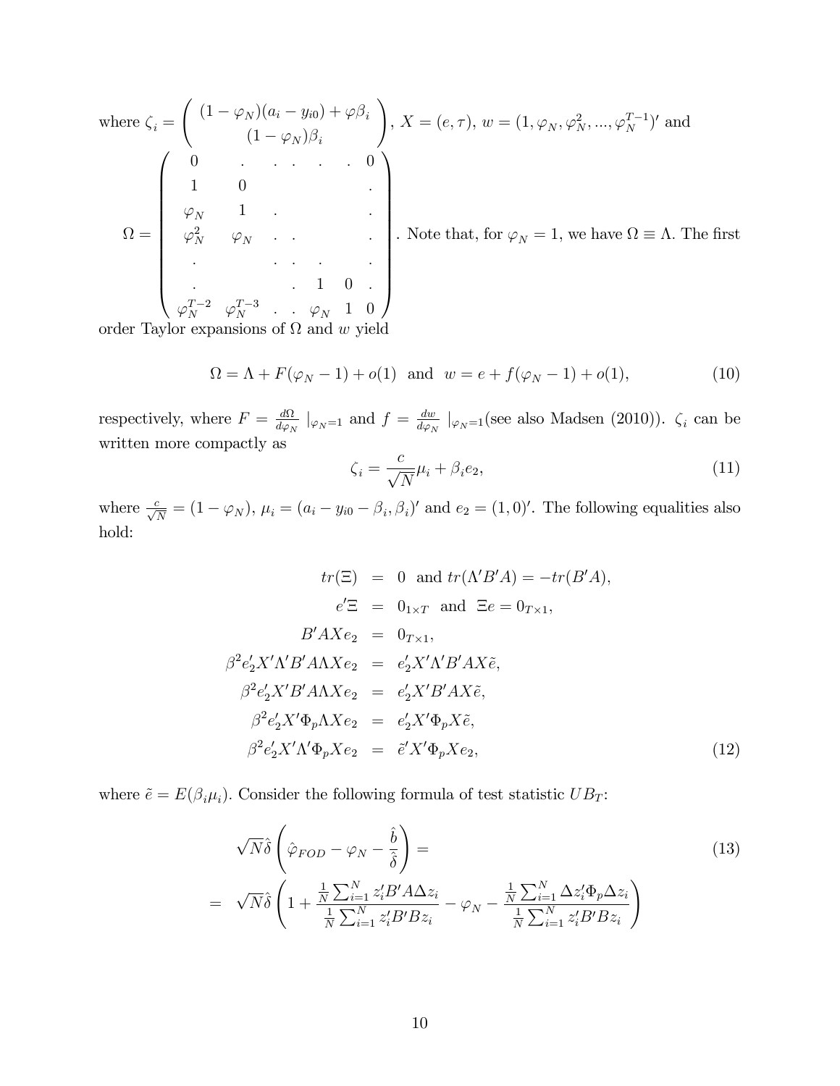where 
$$
\zeta_i = \begin{pmatrix} (1 - \varphi_N)(a_i - y_{i0}) + \varphi \beta_i \\ (1 - \varphi_N)\beta_i \end{pmatrix}
$$
,  $X = (e, \tau)$ ,  $w = (1, \varphi_N, \varphi_N^2, ..., \varphi_N^{T-1})'$  and  
\n
$$
\Omega = \begin{pmatrix} 0 & \cdots & \cdots & 0 \\ 1 & 0 & & \vdots \\ \varphi_N & 1 & & \vdots \\ \varphi_N^2 & \varphi_N & \cdots & \cdots & \vdots \\ \vdots & \vdots & \ddots & \vdots & \vdots \\ \varphi_N^{T-2} & \varphi_N^{T-3} & \cdots & \varphi_N & 1 & 0 \end{pmatrix}
$$
. Note that, for  $\varphi_N = 1$ , we have  $\Omega \equiv \Lambda$ . The first

order Taylor expansions of  $\Omega$  and w yield

$$
\Omega = \Lambda + F(\varphi_N - 1) + o(1) \text{ and } w = e + f(\varphi_N - 1) + o(1), \tag{10}
$$

respectively, where  $F = \frac{d\Omega}{d\varphi_N} \mid_{\varphi_N = 1}$  and  $f = \frac{dw}{d\varphi_N}$  $\frac{dw}{d\varphi_N}$  |<sub> $\varphi_N=1$ </sub> (see also Madsen (2010)).  $\zeta_i$  can be written more compactly as

$$
\zeta_i = \frac{c}{\sqrt{N}} \mu_i + \beta_i e_2,\tag{11}
$$

where  $\frac{c}{\sqrt{N}} = (1 - \varphi_N)$ ,  $\mu_i = (a_i - y_{i0} - \beta_i, \beta_i)'$  and  $e_2 = (1, 0)'$ . The following equalities also hold:

$$
tr(\Xi) = 0 \text{ and } tr(\Lambda'B'A) = -tr(B'A),
$$
  
\n
$$
e'\Xi = 0_{1 \times T} \text{ and } \Xi e = 0_{T \times 1},
$$
  
\n
$$
B'AXe_2 = 0_{T \times 1},
$$
  
\n
$$
\beta^2 e'_2 X' \Lambda' B' A \Lambda X e_2 = e'_2 X' \Lambda' B' A X \tilde{e},
$$
  
\n
$$
\beta^2 e'_2 X' B' A \Lambda X e_2 = e'_2 X' B' A X \tilde{e},
$$
  
\n
$$
\beta^2 e'_2 X' \Phi_p \Lambda X e_2 = e'_2 X' \Phi_p X \tilde{e},
$$
  
\n
$$
\beta^2 e'_2 X' \Lambda' \Phi_p X e_2 = \tilde{e}' X' \Phi_p X e_2,
$$
  
\n(12)

where  $\tilde{e} = E(\beta_i \mu_i)$ . Consider the following formula of test statistic  $UB_T$ :

$$
\sqrt{N}\hat{\delta}\left(\hat{\varphi}_{FOD} - \varphi_N - \frac{\hat{b}}{\hat{\delta}}\right) =
$$
\n
$$
= \sqrt{N}\hat{\delta}\left(1 + \frac{\frac{1}{N}\sum_{i=1}^N z_i'B'A\Delta z_i}{\frac{1}{N}\sum_{i=1}^N z_i'B'Bz_i} - \varphi_N - \frac{\frac{1}{N}\sum_{i=1}^N \Delta z_i'\Phi_p\Delta z_i}{\frac{1}{N}\sum_{i=1}^N z_i'B'Bz_i}\right)
$$
\n(13)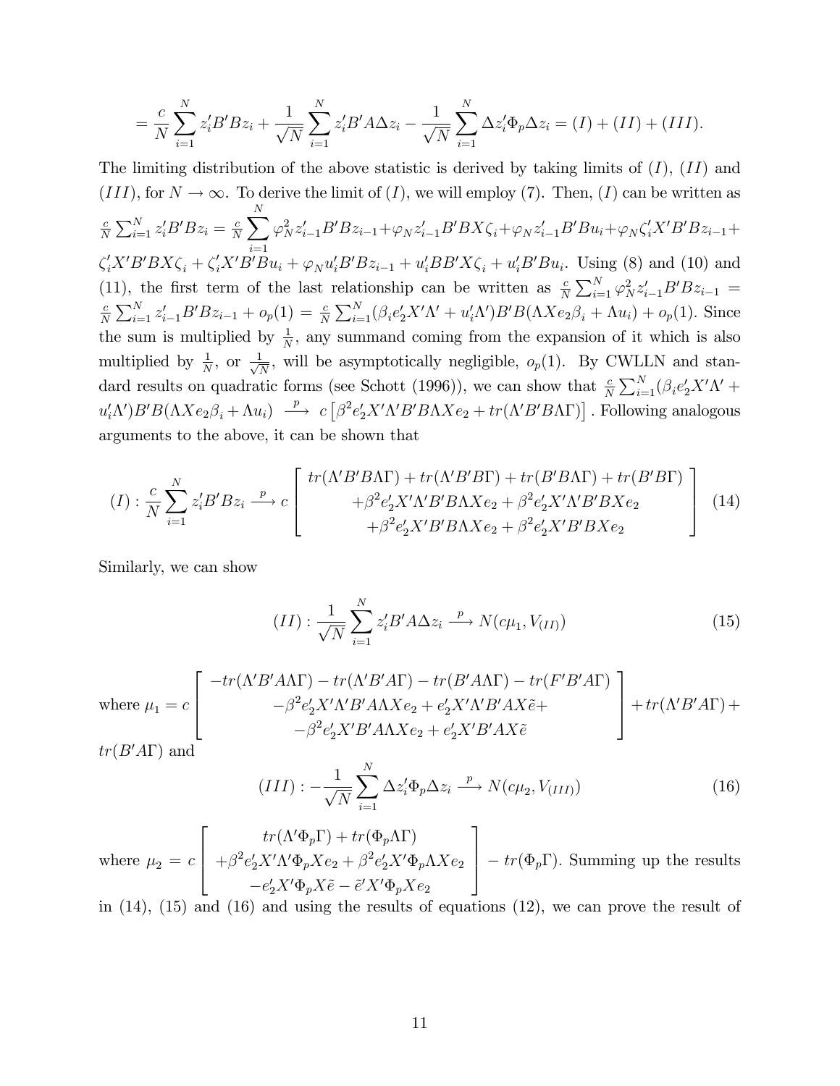$$
= \frac{c}{N} \sum_{i=1}^{N} z_i' B' B z_i + \frac{1}{\sqrt{N}} \sum_{i=1}^{N} z_i' B' A \Delta z_i - \frac{1}{\sqrt{N}} \sum_{i=1}^{N} \Delta z_i' \Phi_p \Delta z_i = (I) + (II) + (III).
$$

The limiting distribution of the above statistic is derived by taking limits of  $(I)$ ,  $(II)$  and  $(III)$ , for  $N \to \infty$ . To derive the limit of  $(I)$ , we will employ (7). Then,  $(I)$  can be written as c  $\frac{c}{N}\sum_{i=1}^N z_i'B' B z_i = \frac{c}{N}$  $\frac{c}{N} \sum^N$  $i=1$  $\varphi_{N}^{2}z'_{i-1}B'Bz_{i-1}+\varphi_{N}z'_{i-1}B'BX\zeta_{i}+\varphi_{N}z'_{i-1}B'Bu_{i}+\varphi_{N}\zeta'_{i}X'B'Bz_{i-1}+\varphi_{N}^{2}z'_{i-1}B'Bz_{i-1}+\varphi_{N}^{2}z'_{i-1}B'Bu_{i}$  $\zeta'_i X'B'B' B X \zeta_i + \zeta'_i X'B' Bu_i + \varphi_N u'_i B'B z_{i-1} + u'_i BB' X \zeta_i + u'_i B'B u_i$ . Using (8) and (10) and (11), the first term of the last relationship can be written as  $\frac{c}{N} \sum_{i=1}^{N} \varphi_N^2 z_{i-1}' B' B z_{i-1} =$ c  $\frac{c}{N} \sum_{i=1}^{N} z'_{i-1} B' B z_{i-1} + o_p(1) = \frac{c}{N} \sum_{i=1}^{N} (\beta_i e'_2 X' \Lambda' + u'_i \Lambda') B' B(\Lambda X e_2 \beta_i + \Lambda u_i) + o_p(1)$ . Since the sum is multiplied by  $\frac{1}{N}$ , any summand coming from the expansion of it which is also multiplied by  $\frac{1}{N}$ , or  $\frac{1}{\sqrt{l}}$  $\frac{1}{N}$ , will be asymptotically negligible,  $o_p(1)$ . By CWLLN and standard results on quadratic forms (see Schott (1996)), we can show that  $\frac{c}{N} \sum_{i=1}^{N} (\beta_i e'_2 X' \Lambda' +$  $u'_i \Lambda'$ ) $B'B(\Lambda Xe_2\beta_i + \Lambda u_i) \stackrel{p}{\longrightarrow} c\left[\beta^2 e'_2X'\Lambda'B'B\Lambda Xe_2 + tr(\Lambda'B'B\Lambda\Gamma)\right]$ . Following analogous arguments to the above, it can be shown that

$$
(I): \frac{c}{N} \sum_{i=1}^{N} z_i' B' B z_i \xrightarrow{p} c \left[ \begin{array}{c} tr(\Lambda' B' B \Lambda \Gamma) + tr(\Lambda' B' B \Gamma) + tr(B' B \Lambda \Gamma) + tr(B' B \Gamma) \\ + \beta^2 e_2' X' \Lambda' B' B \Lambda X e_2 + \beta^2 e_2' X' \Lambda' B' B X e_2 \\ + \beta^2 e_2' X' B' B \Lambda X e_2 + \beta^2 e_2' X' B' B X e_2 \end{array} \right] (14)
$$

Similarly, we can show

$$
(II): \frac{1}{\sqrt{N}} \sum_{i=1}^{N} z_i' B' A \Delta z_i \xrightarrow{p} N(c\mu_1, V_{(II)})
$$
\n
$$
(15)
$$

where 
$$
\mu_1 = c \begin{bmatrix} -tr(\Lambda' B' A \Lambda \Gamma) - tr(\Lambda' B' A \Gamma) - tr(B' A \Lambda \Gamma) - tr(F' B' A \Gamma) \\ -\beta^2 e'_2 X' \Lambda' B' A \Lambda X e_2 + e'_2 X' \Lambda' B' A X \tilde{e} + \\ -\beta^2 e'_2 X' B' A \Lambda X e_2 + e'_2 X' B' A X \tilde{e} \end{bmatrix} + tr(\Lambda' B' A \Gamma) + tr(B' A \Gamma)
$$
 and

$$
B A I) \text{ and}
$$

$$
(III): -\frac{1}{\sqrt{N}} \sum_{i=1}^{N} \Delta z_i' \Phi_p \Delta z_i \xrightarrow{p} N(c\mu_2, V_{(III)})
$$
\n(16)

where  $\mu_2 = c$  $\sqrt{2}$  $\overline{\phantom{a}}$  $tr(\Lambda'\Phi_p\Gamma)+tr(\Phi_p\Lambda\Gamma)$  $+\beta^2 e'_2 X' \Lambda' \Phi_p X e_2 + \beta^2 e'_2 X' \Phi_p \Lambda X e_2$  $-e'_2X'\Phi_pX\tilde{e}-\tilde{e}'X'\Phi_pXe_2$ 3  $\vert -tr(\Phi_p \Gamma)$ . Summing up the results

in (14), (15) and (16) and using the results of equations (12), we can prove the result of